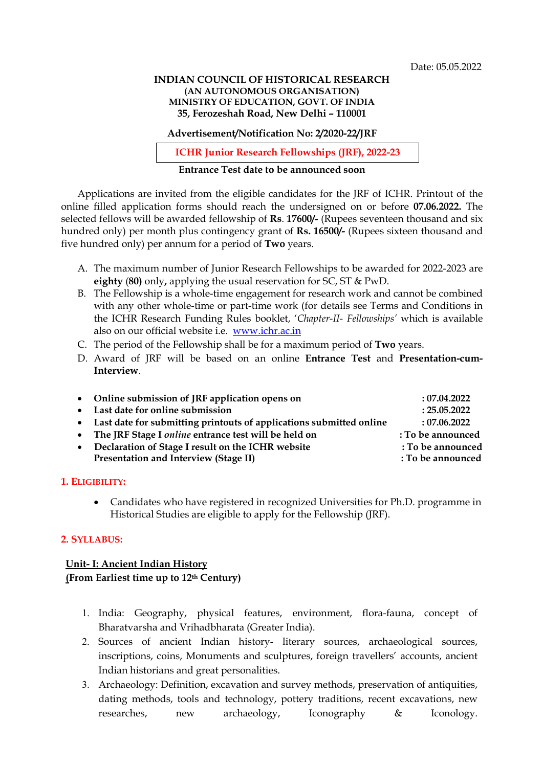#### INDIAN COUNCIL OF HISTORICAL RESEARCH (AN AUTONOMOUS ORGANISATION) MINISTRY OF EDUCATION, GOVT. OF INDIA 35, Ferozeshah Road, New Delhi – 110001

Advertisement/Notification No: 2/2020-22/JRF

ICHR Junior Research Fellowships (JRF), 2022-23

## Entrance Test date to be announced soon

Applications are invited from the eligible candidates for the JRF of ICHR. Printout of the online filled application forms should reach the undersigned on or before 07.06.2022. The selected fellows will be awarded fellowship of Rs. 17600/- (Rupees seventeen thousand and six hundred only) per month plus contingency grant of Rs. 16500/- (Rupees sixteen thousand and five hundred only) per annum for a period of Two years.

- A. The maximum number of Junior Research Fellowships to be awarded for 2022-2023 are eighty (80) only, applying the usual reservation for SC, ST & PwD.
- B. The Fellowship is a whole-time engagement for research work and cannot be combined with any other whole-time or part-time work (for details see Terms and Conditions in the ICHR Research Funding Rules booklet, 'Chapter-II- Fellowships' which is available also on our official website i.e. www.ichr.ac.in
- C. The period of the Fellowship shall be for a maximum period of Two years.
- D. Award of JRF will be based on an online Entrance Test and Presentation-cum-Interview.

| • Online submission of JRF application opens on                       | :07.04.2022       |
|-----------------------------------------------------------------------|-------------------|
| • Last date for online submission                                     | : 25.05.2022      |
| • Last date for submitting printouts of applications submitted online | :07.06.2022       |
| • The JRF Stage I online entrance test will be held on                | : To be announced |
| Declaration of Stage I result on the ICHR website                     | : To be announced |
| Presentation and Interview (Stage II)                                 | : To be announced |
|                                                                       |                   |

#### 1. ELIGIBILITY:

 Candidates who have registered in recognized Universities for Ph.D. programme in Historical Studies are eligible to apply for the Fellowship (JRF).

#### 2. SYLLABUS:

# Unit- I: Ancient Indian History (From Earliest time up to 12th Century)

- 1. India: Geography, physical features, environment, flora-fauna, concept of Bharatvarsha and Vrihadbharata (Greater India).
- 2. Sources of ancient Indian history- literary sources, archaeological sources, inscriptions, coins, Monuments and sculptures, foreign travellers' accounts, ancient Indian historians and great personalities.
- 3. Archaeology: Definition, excavation and survey methods, preservation of antiquities, dating methods, tools and technology, pottery traditions, recent excavations, new researches, new archaeology, Iconography & Iconology.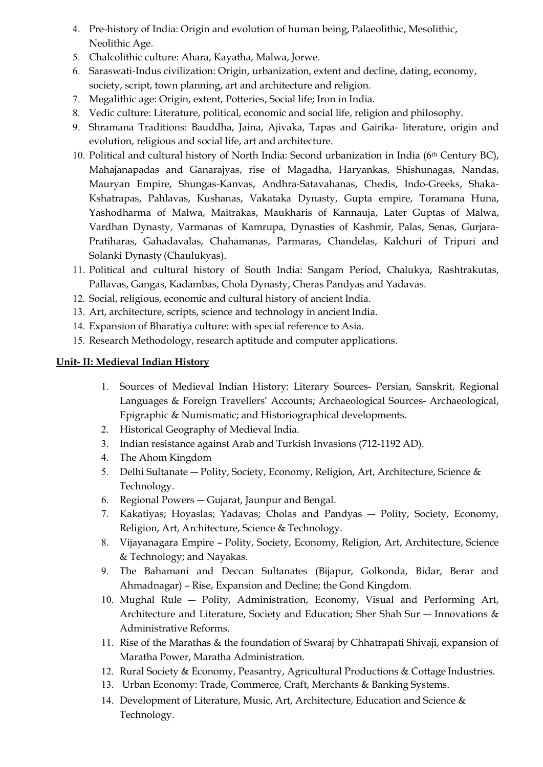- 4. Pre-history of India: Origin and evolution of human being, Palaeolithic, Mesolithic, Neolithic Age.
- 5. Chalcolithic culture: Ahara, Kayatha, Malwa, Jorwe.
- 6. Saraswati-Indus civilization: Origin, urbanization, extent and decline, dating, economy, society, script, town planning, art and architecture and religion.
- 7. Megalithic age: Origin, extent, Potteries, Social life; Iron in India.
- 8. Vedic culture: Literature, political, economic and social life, religion and philosophy.
- 9. Shramana Traditions: Bauddha, Jaina, Ajivaka, Tapas and Gairika- literature, origin and evolution, religious and social life, art and architecture.
- 10. Political and cultural history of North India: Second urbanization in India ( $6<sup>th</sup>$  Century BC), Mahajanapadas and Ganarajyas, rise of Magadha, Haryankas, Shishunagas, Nandas, Mauryan Empire, Shungas-Kanvas, Andhra-Satavahanas, Chedis, Indo-Greeks, Shaka-Kshatrapas, Pahlavas, Kushanas, Vakataka Dynasty, Gupta empire, Toramana Huna, Yashodharma of Malwa, Maitrakas, Maukharis of Kannauja, Later Guptas of Malwa, Vardhan Dynasty, Varmanas of Kamrupa, Dynasties of Kashmir, Palas, Senas, Gurjara-Pratiharas, Gahadavalas, Chahamanas, Parmaras, Chandelas, Kalchuri of Tripuri and Solanki Dynasty (Chaulukyas).
- 11. Political and cultural history of South India: Sangam Period, Chalukya, Rashtrakutas, Pallavas, Gangas, Kadambas, Chola Dynasty, Cheras Pandyas and Yadavas.
- 12. Social, religious, economic and cultural history of ancient India.
- 13. Art, architecture, scripts, science and technology in ancient India.
- 14. Expansion of Bharatiya culture: with special reference to Asia.
- 15. Research Methodology, research aptitude and computer applications.

## Unit- II: Medieval Indian History

- 1. Sources of Medieval Indian History: Literary Sources- Persian, Sanskrit, Regional Languages & Foreign Travellers' Accounts; Archaeological Sources- Archaeological, Epigraphic & Numismatic; and Historiographical developments.
- 2. Historical Geography of Medieval India.
- 3. Indian resistance against Arab and Turkish Invasions (712-1192 AD).
- 4. The Ahom Kingdom
- 5. Delhi Sultanate Polity, Society, Economy, Religion, Art, Architecture, Science & Technology.
- 6. Regional Powers ― Gujarat, Jaunpur and Bengal.
- 7. Kakatiyas; Hoyaslas; Yadavas; Cholas and Pandyas ― Polity, Society, Economy, Religion, Art, Architecture, Science & Technology.
- 8. Vijayanagara Empire Polity, Society, Economy, Religion, Art, Architecture, Science & Technology; and Nayakas.
- 9. The Bahamani and Deccan Sultanates (Bijapur, Golkonda, Bidar, Berar and Ahmadnagar) – Rise, Expansion and Decline; the Gond Kingdom.
- 10. Mughal Rule ― Polity, Administration, Economy, Visual and Performing Art, Architecture and Literature, Society and Education; Sher Shah Sur — Innovations & Administrative Reforms.
- 11. Rise of the Marathas & the foundation of Swaraj by Chhatrapati Shivaji, expansion of Maratha Power, Maratha Administration.
- 12. Rural Society & Economy, Peasantry, Agricultural Productions & Cottage Industries.
- 13. Urban Economy: Trade, Commerce, Craft, Merchants & Banking Systems.
- 14. Development of Literature, Music, Art, Architecture, Education and Science & Technology.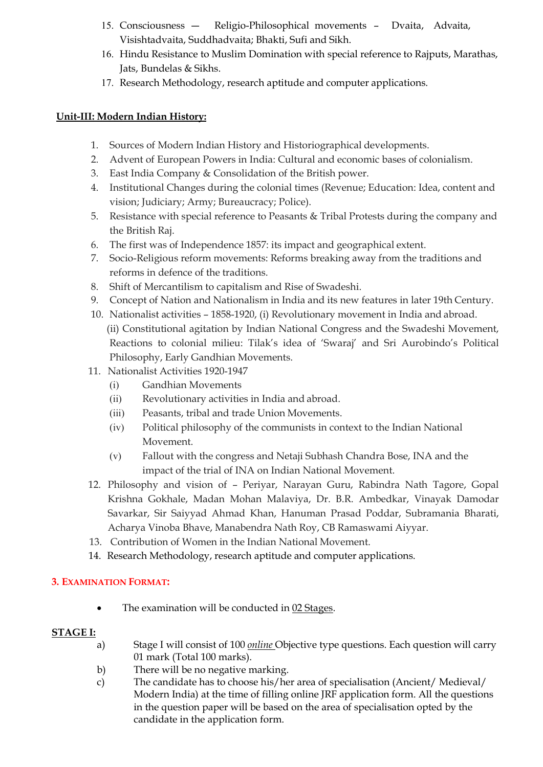- 15. Consciousness ― Religio-Philosophical movements Dvaita, Advaita, Visishtadvaita, Suddhadvaita; Bhakti, Sufi and Sikh.
- 16. Hindu Resistance to Muslim Domination with special reference to Rajputs, Marathas, Jats, Bundelas & Sikhs.
- 17. Research Methodology, research aptitude and computer applications.

# Unit-III: Modern Indian History:

- 1. Sources of Modern Indian History and Historiographical developments.
- 2. Advent of European Powers in India: Cultural and economic bases of colonialism.
- 3. East India Company & Consolidation of the British power.
- 4. Institutional Changes during the colonial times (Revenue; Education: Idea, content and vision; Judiciary; Army; Bureaucracy; Police).
- 5. Resistance with special reference to Peasants & Tribal Protests during the company and the British Raj.
- 6. The first was of Independence 1857: its impact and geographical extent.
- 7. Socio-Religious reform movements: Reforms breaking away from the traditions and reforms in defence of the traditions.
- 8. Shift of Mercantilism to capitalism and Rise of Swadeshi.
- 9. Concept of Nation and Nationalism in India and its new features in later 19th Century.
- 10. Nationalist activities 1858-1920, (i) Revolutionary movement in India and abroad. (ii) Constitutional agitation by Indian National Congress and the Swadeshi Movement, Reactions to colonial milieu: Tilak's idea of 'Swaraj' and Sri Aurobindo's Political Philosophy, Early Gandhian Movements.
- 11. Nationalist Activities 1920-1947
	- (i) Gandhian Movements
	- (ii) Revolutionary activities in India and abroad.
	- (iii) Peasants, tribal and trade Union Movements.
	- (iv) Political philosophy of the communists in context to the Indian National Movement.
	- (v) Fallout with the congress and Netaji Subhash Chandra Bose, INA and the impact of the trial of INA on Indian National Movement.
- 12. Philosophy and vision of Periyar, Narayan Guru, Rabindra Nath Tagore, Gopal Krishna Gokhale, Madan Mohan Malaviya, Dr. B.R. Ambedkar, Vinayak Damodar Savarkar, Sir Saiyyad Ahmad Khan, Hanuman Prasad Poddar, Subramania Bharati, Acharya Vinoba Bhave, Manabendra Nath Roy, CB Ramaswami Aiyyar.
- 13. Contribution of Women in the Indian National Movement.
- 14. Research Methodology, research aptitude and computer applications.

## 3. EXAMINATION FORMAT:

The examination will be conducted in 02 Stages.

## STAGE I:

- a) Stage I will consist of 100 *online* Objective type questions. Each question will carry 01 mark (Total 100 marks).
- b) There will be no negative marking.
- c) The candidate has to choose his/her area of specialisation (Ancient/ Medieval/ Modern India) at the time of filling online JRF application form. All the questions in the question paper will be based on the area of specialisation opted by the candidate in the application form.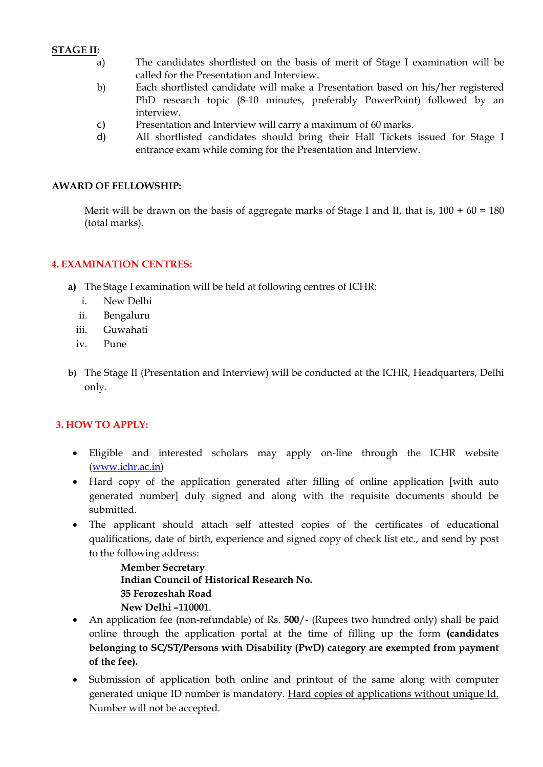### STAGE II:

- a) The candidates shortlisted on the basis of merit of Stage I examination will be called for the Presentation and Interview.
- b) Each shortlisted candidate will make a Presentation based on his/her registered PhD research topic (8-10 minutes, preferably PowerPoint) followed by an interview.
- c) Presentation and Interview will carry a maximum of 60 marks.
- d) All shortlisted candidates should bring their Hall Tickets issued for Stage I entrance exam while coming for the Presentation and Interview.

#### AWARD OF FELLOWSHIP:

Merit will be drawn on the basis of aggregate marks of Stage I and II, that is,  $100 + 60 = 180$ (total marks).

#### 4. EXAMINATION CENTRES:

- a) The Stage I examination will be held at following centres of ICHR:
	- i. New Delhi
	- ii. Bengaluru
	- iii. Guwahati
	- iv. Pune
- b) The Stage II (Presentation and Interview) will be conducted at the ICHR, Headquarters, Delhi only.

## 3. HOW TO APPLY:

- Eligible and interested scholars may apply on-line through the ICHR website (www.ichr.ac.in)
- Hard copy of the application generated after filling of online application [with auto generated number] duly signed and along with the requisite documents should be submitted.
- The applicant should attach self attested copies of the certificates of educational qualifications, date of birth, experience and signed copy of check list etc., and send by post to the following address:

Member Secretary Indian Council of Historical Research No. 35 Ferozeshah Road New Delhi –110001.

- An application fee (non-refundable) of Rs. 500/- (Rupees two hundred only) shall be paid online through the application portal at the time of filling up the form (candidates belonging to SC/ST/Persons with Disability (PwD) category are exempted from payment of the fee).
- Submission of application both online and printout of the same along with computer generated unique ID number is mandatory. Hard copies of applications without unique Id. Number will not be accepted.